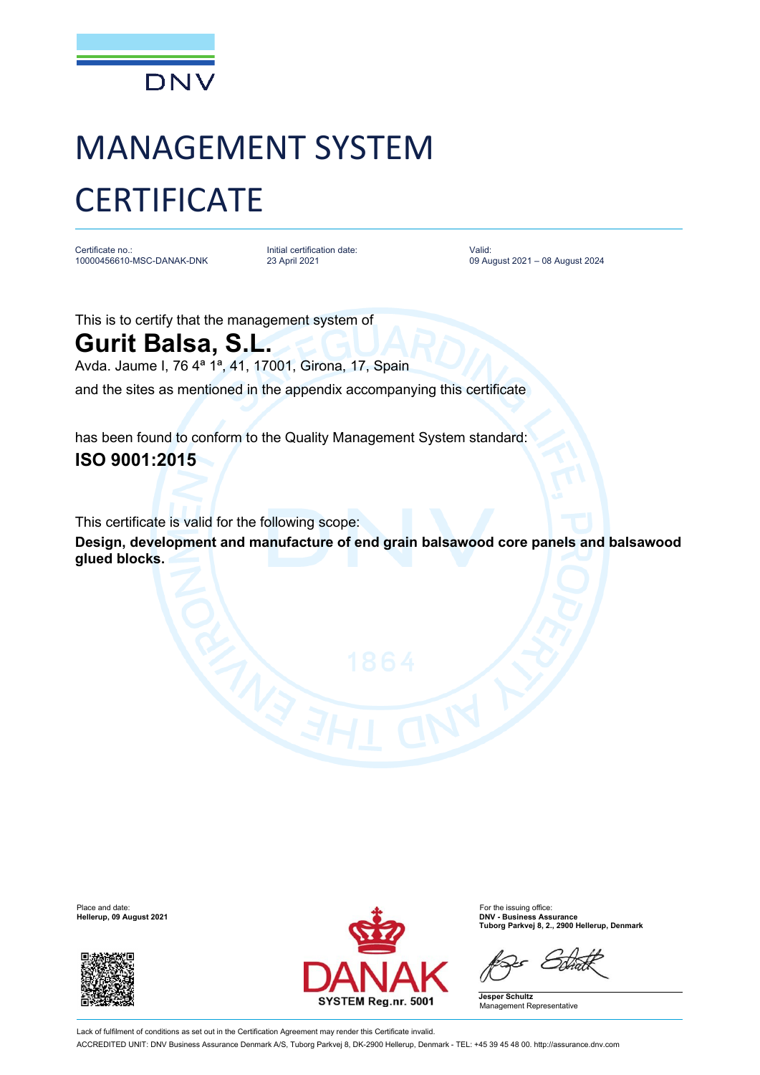

## MANAGEMENT SYSTEM **CERTIFICATE**

Certificate no.: 10000456610-MSC-DANAK-DNK Initial certification date: 23 April 2021

Valid: 09 August 2021 – 08 August 2024

This is to certify that the management system of **Gurit Balsa, S.L.**

Avda. Jaume I, 76 4ª 1ª, 41, 17001, Girona, 17, Spain

and the sites as mentioned in the appendix accompanying this certificate

has been found to conform to the Quality Management System standard: **ISO 9001:2015**

This certificate is valid for the following scope:

**Design, development and manufacture of end grain balsawood core panels and balsawood glued blocks.**





**Hellerup, 09 August 2021 DNV - Business Assurance Tuborg Parkvej 8, 2., 2900 Hellerup, Denmark**

**Jesper Schultz** Management Representative

Lack of fulfilment of conditions as set out in the Certification Agreement may render this Certificate invalid. ACCREDITED UNIT: DNV Business Assurance Denmark A/S, Tuborg Parkvej 8, DK-2900 Hellerup, Denmark - TEL: +45 39 45 48 00. http://assurance.dnv.com